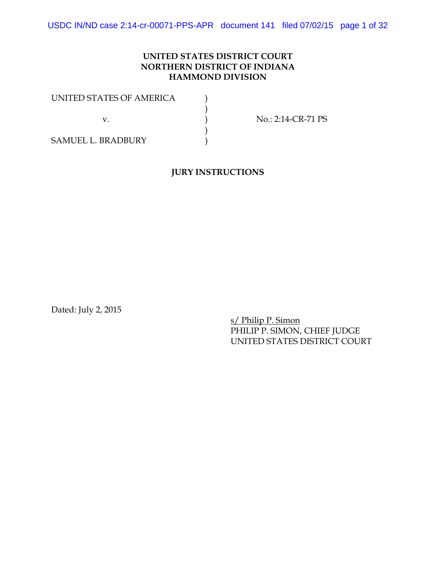## **UNITED STATES DISTRICT COURT NORTHERN DISTRICT OF INDIANA HAMMOND DIVISION**

| UNITED STATES OF AMERICA  |                    |
|---------------------------|--------------------|
|                           |                    |
|                           | No.: 2:14-CR-71 PS |
|                           |                    |
| <b>SAMUEL L. BRADBURY</b> |                    |

## **JURY INSTRUCTIONS**

Dated: July 2, 2015

s/ Philip P. Simon PHILIP P. SIMON, CHIEF JUDGE UNITED STATES DISTRICT COURT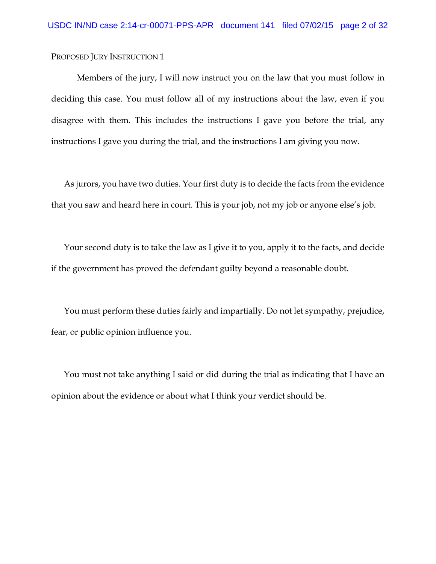Members of the jury, I will now instruct you on the law that you must follow in deciding this case. You must follow all of my instructions about the law, even if you disagree with them. This includes the instructions I gave you before the trial, any instructions I gave you during the trial, and the instructions I am giving you now.

As jurors, you have two duties. Your first duty is to decide the facts from the evidence that you saw and heard here in court. This is your job, not my job or anyone else's job.

Your second duty is to take the law as I give it to you, apply it to the facts, and decide if the government has proved the defendant guilty beyond a reasonable doubt.

You must perform these duties fairly and impartially. Do not let sympathy, prejudice, fear, or public opinion influence you.

You must not take anything I said or did during the trial as indicating that I have an opinion about the evidence or about what I think your verdict should be.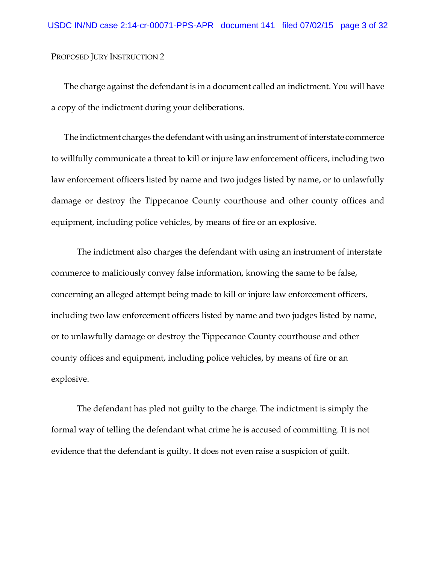The charge against the defendant is in a document called an indictment. You will have a copy of the indictment during your deliberations.

The indictment charges the defendant with using an instrument of interstate commerce to willfully communicate a threat to kill or injure law enforcement officers, including two law enforcement officers listed by name and two judges listed by name, or to unlawfully damage or destroy the Tippecanoe County courthouse and other county offices and equipment, including police vehicles, by means of fire or an explosive.

The indictment also charges the defendant with using an instrument of interstate commerce to maliciously convey false information, knowing the same to be false, concerning an alleged attempt being made to kill or injure law enforcement officers, including two law enforcement officers listed by name and two judges listed by name, or to unlawfully damage or destroy the Tippecanoe County courthouse and other county offices and equipment, including police vehicles, by means of fire or an explosive.

The defendant has pled not guilty to the charge. The indictment is simply the formal way of telling the defendant what crime he is accused of committing. It is not evidence that the defendant is guilty. It does not even raise a suspicion of guilt.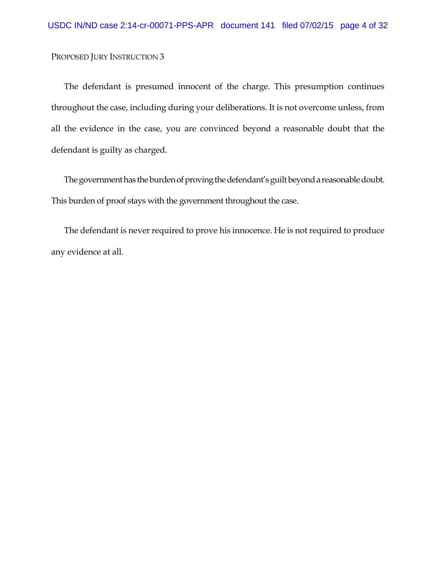The defendant is presumed innocent of the charge. This presumption continues throughout the case, including during your deliberations. It is not overcome unless, from all the evidence in the case, you are convinced beyond a reasonable doubt that the defendant is guilty as charged.

The government has the burden of proving the defendant's guilt beyond a reasonable doubt. This burden of proof stays with the government throughout the case.

The defendant is never required to prove his innocence. He is not required to produce any evidence at all.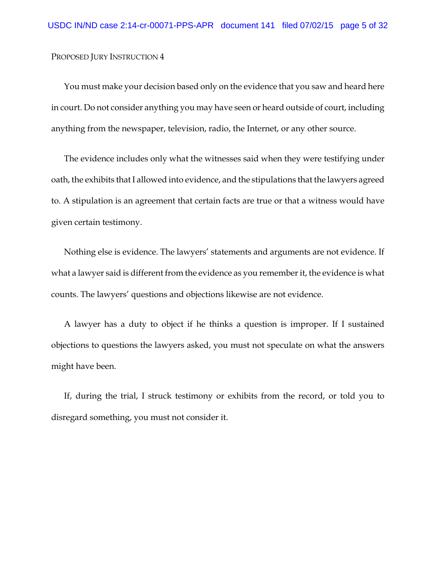You must make your decision based only on the evidence that you saw and heard here in court. Do not consider anything you may have seen or heard outside of court, including anything from the newspaper, television, radio, the Internet, or any other source.

The evidence includes only what the witnesses said when they were testifying under oath, the exhibits that I allowed into evidence, and the stipulations that the lawyers agreed to. A stipulation is an agreement that certain facts are true or that a witness would have given certain testimony.

Nothing else is evidence. The lawyers' statements and arguments are not evidence. If what a lawyer said is different from the evidence as you remember it, the evidence is what counts. The lawyers' questions and objections likewise are not evidence.

A lawyer has a duty to object if he thinks a question is improper. If I sustained objections to questions the lawyers asked, you must not speculate on what the answers might have been.

If, during the trial, I struck testimony or exhibits from the record, or told you to disregard something, you must not consider it.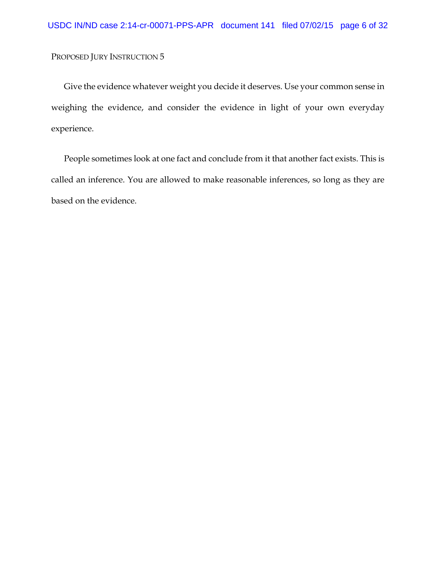Give the evidence whatever weight you decide it deserves. Use your common sense in weighing the evidence, and consider the evidence in light of your own everyday experience.

People sometimes look at one fact and conclude from it that another fact exists. This is called an inference. You are allowed to make reasonable inferences, so long as they are based on the evidence.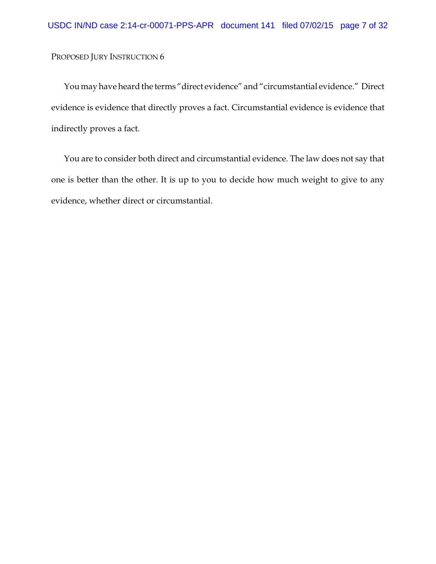You may have heard the terms "direct evidence" and "circumstantial evidence." Direct evidence is evidence that directly proves a fact. Circumstantial evidence is evidence that indirectly proves a fact.

You are to consider both direct and circumstantial evidence. The law does not say that one is better than the other. It is up to you to decide how much weight to give to any evidence, whether direct or circumstantial.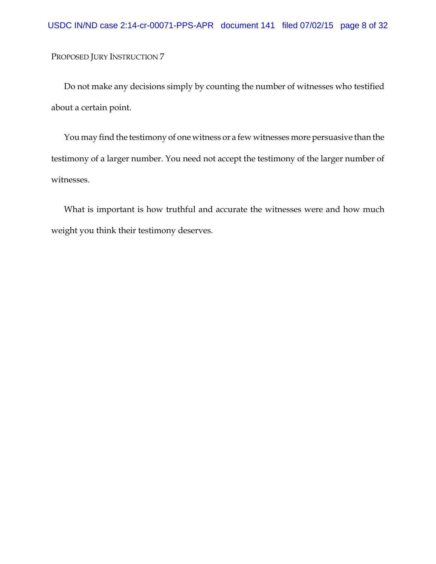Do not make any decisions simply by counting the number of witnesses who testified about a certain point.

You may find the testimony of one witness or a few witnesses more persuasive than the testimony of a larger number. You need not accept the testimony of the larger number of witnesses.

What is important is how truthful and accurate the witnesses were and how much weight you think their testimony deserves.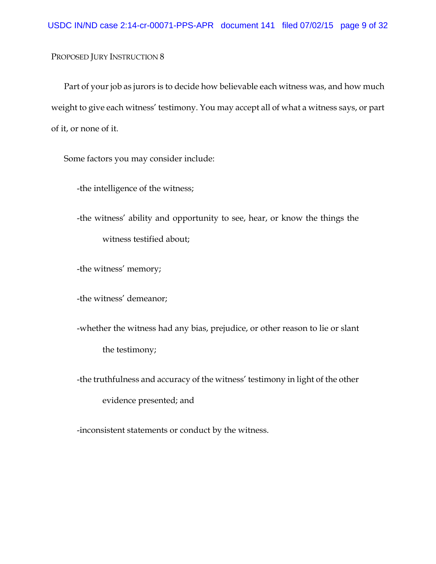Part of your job as jurors is to decide how believable each witness was, and how much weight to give each witness' testimony. You may accept all of what a witness says, or part of it, or none of it.

Some factors you may consider include:

-the intelligence of the witness;

-the witness' ability and opportunity to see, hear, or know the things the witness testified about;

-the witness' memory;

-the witness' demeanor;

-whether the witness had any bias, prejudice, or other reason to lie or slant the testimony;

-the truthfulness and accuracy of the witness' testimony in light of the other evidence presented; and

-inconsistent statements or conduct by the witness.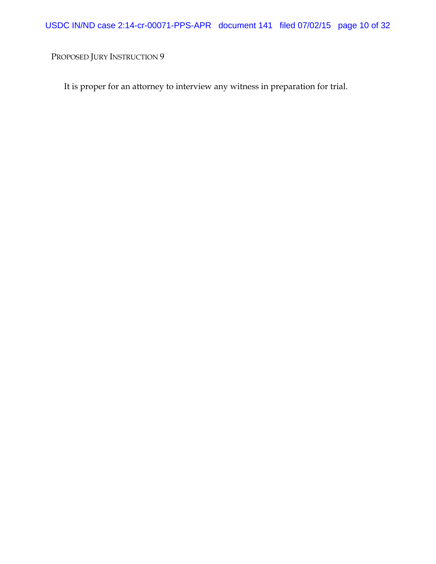It is proper for an attorney to interview any witness in preparation for trial.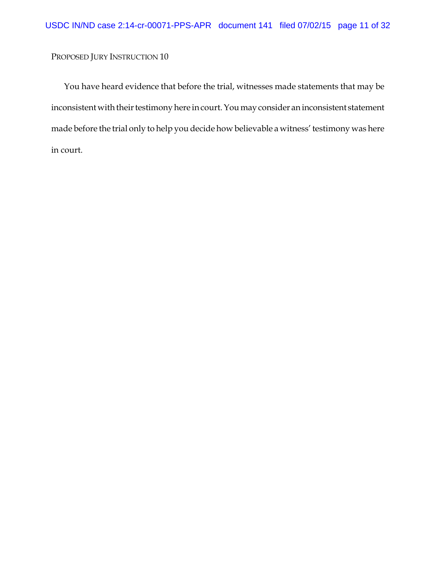You have heard evidence that before the trial, witnesses made statements that may be inconsistent with their testimony here in court. You may consider an inconsistent statement made before the trial only to help you decide how believable a witness' testimony was here in court.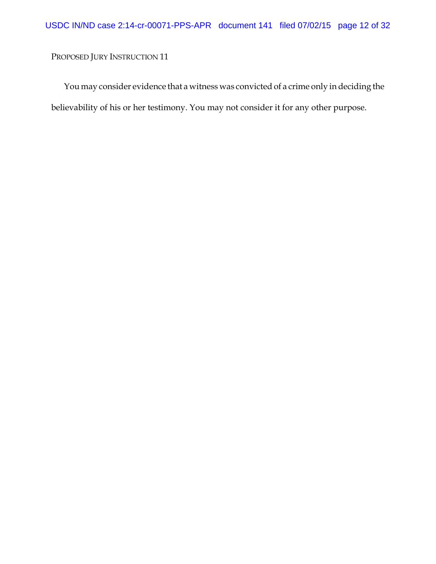You may consider evidence that a witness was convicted of a crime only in deciding the believability of his or her testimony. You may not consider it for any other purpose.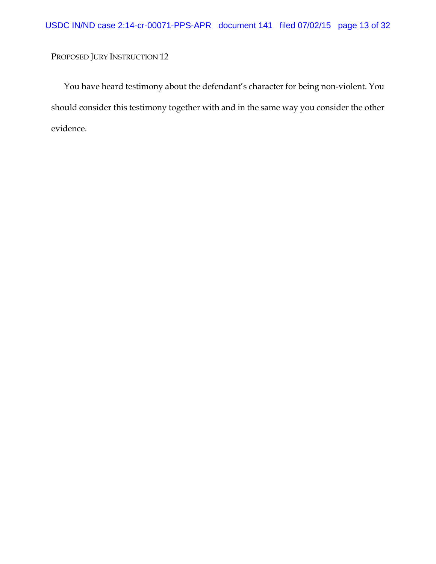You have heard testimony about the defendant's character for being non-violent. You should consider this testimony together with and in the same way you consider the other evidence.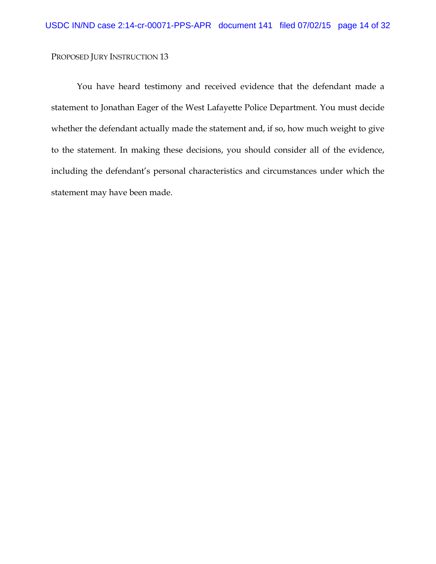You have heard testimony and received evidence that the defendant made a statement to Jonathan Eager of the West Lafayette Police Department. You must decide whether the defendant actually made the statement and, if so, how much weight to give to the statement. In making these decisions, you should consider all of the evidence, including the defendant's personal characteristics and circumstances under which the statement may have been made.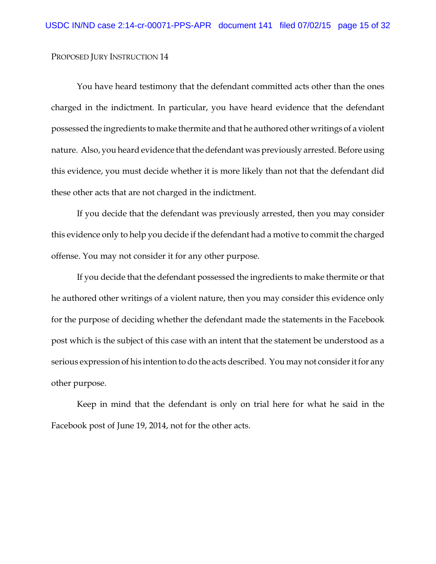You have heard testimony that the defendant committed acts other than the ones charged in the indictment. In particular, you have heard evidence that the defendant possessed the ingredients to make thermite and that he authored other writings of a violent nature. Also, you heard evidence that the defendant was previously arrested. Before using this evidence, you must decide whether it is more likely than not that the defendant did these other acts that are not charged in the indictment.

If you decide that the defendant was previously arrested, then you may consider this evidence only to help you decide if the defendant had a motive to commit the charged offense. You may not consider it for any other purpose.

If you decide that the defendant possessed the ingredients to make thermite or that he authored other writings of a violent nature, then you may consider this evidence only for the purpose of deciding whether the defendant made the statements in the Facebook post which is the subject of this case with an intent that the statement be understood as a serious expression of his intention to do the acts described. You may not consider it for any other purpose.

Keep in mind that the defendant is only on trial here for what he said in the Facebook post of June 19, 2014, not for the other acts.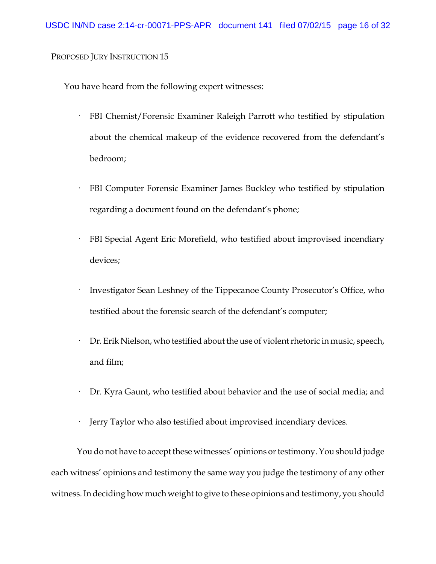You have heard from the following expert witnesses:

- · FBI Chemist/Forensic Examiner Raleigh Parrott who testified by stipulation about the chemical makeup of the evidence recovered from the defendant's bedroom;
- FBI Computer Forensic Examiner James Buckley who testified by stipulation regarding a document found on the defendant's phone;
- FBI Special Agent Eric Morefield, who testified about improvised incendiary devices;
- Investigator Sean Leshney of the Tippecanoe County Prosecutor's Office, who testified about the forensic search of the defendant's computer;
- · Dr. Erik Nielson, who testified about the use of violent rhetoric in music, speech, and film;
- Dr. Kyra Gaunt, who testified about behavior and the use of social media; and
- Jerry Taylor who also testified about improvised incendiary devices.

You do not have to accept these witnesses' opinions or testimony. You should judge each witness' opinions and testimony the same way you judge the testimony of any other witness. In deciding how much weight to give to these opinions and testimony, you should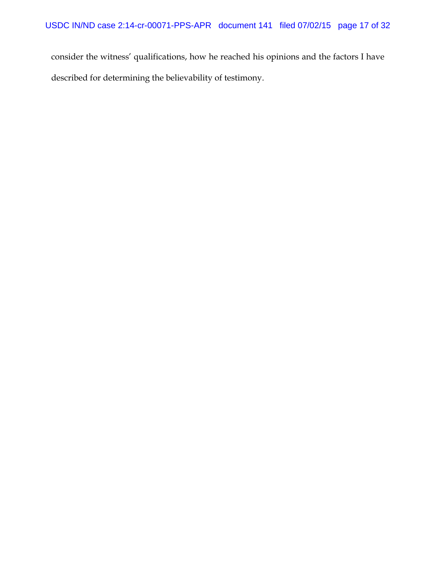consider the witness' qualifications, how he reached his opinions and the factors I have described for determining the believability of testimony.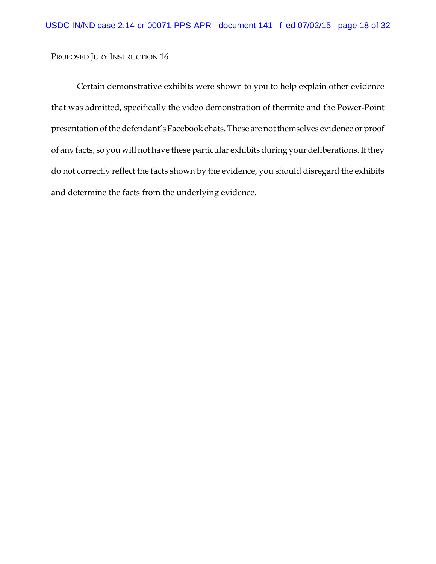Certain demonstrative exhibits were shown to you to help explain other evidence that was admitted, specifically the video demonstration of thermite and the Power-Point presentation of the defendant's Facebook chats. These are not themselves evidence or proof of any facts, so you will not have these particular exhibits during your deliberations. If they do not correctly reflect the facts shown by the evidence, you should disregard the exhibits and determine the facts from the underlying evidence.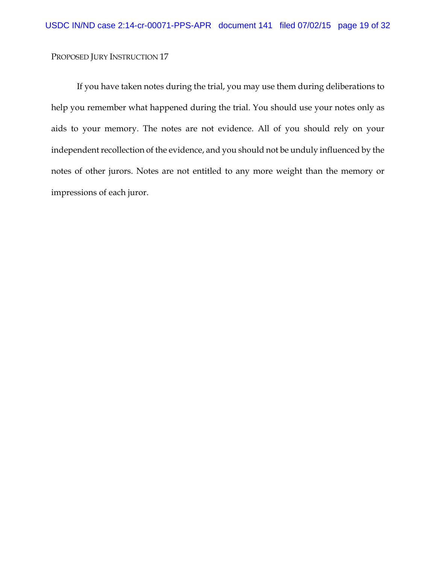If you have taken notes during the trial, you may use them during deliberations to help you remember what happened during the trial. You should use your notes only as aids to your memory. The notes are not evidence. All of you should rely on your independent recollection of the evidence, and you should not be unduly influenced by the notes of other jurors. Notes are not entitled to any more weight than the memory or impressions of each juror.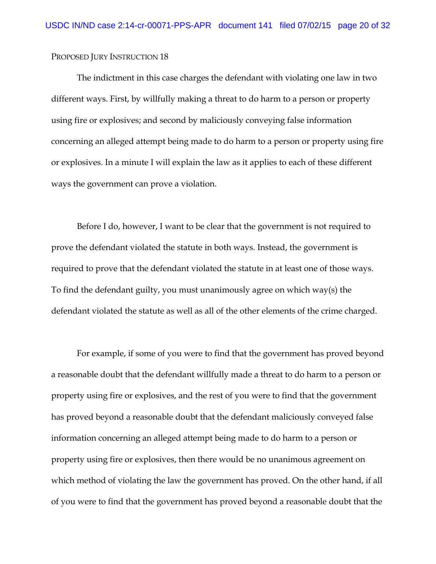The indictment in this case charges the defendant with violating one law in two different ways. First, by willfully making a threat to do harm to a person or property using fire or explosives; and second by maliciously conveying false information concerning an alleged attempt being made to do harm to a person or property using fire or explosives. In a minute I will explain the law as it applies to each of these different ways the government can prove a violation.

Before I do, however, I want to be clear that the government is not required to prove the defendant violated the statute in both ways. Instead, the government is required to prove that the defendant violated the statute in at least one of those ways. To find the defendant guilty, you must unanimously agree on which way(s) the defendant violated the statute as well as all of the other elements of the crime charged.

For example, if some of you were to find that the government has proved beyond a reasonable doubt that the defendant willfully made a threat to do harm to a person or property using fire or explosives, and the rest of you were to find that the government has proved beyond a reasonable doubt that the defendant maliciously conveyed false information concerning an alleged attempt being made to do harm to a person or property using fire or explosives, then there would be no unanimous agreement on which method of violating the law the government has proved. On the other hand, if all of you were to find that the government has proved beyond a reasonable doubt that the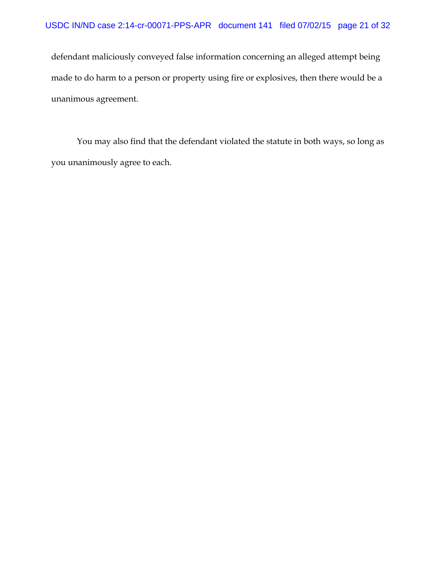defendant maliciously conveyed false information concerning an alleged attempt being made to do harm to a person or property using fire or explosives, then there would be a unanimous agreement.

You may also find that the defendant violated the statute in both ways, so long as you unanimously agree to each.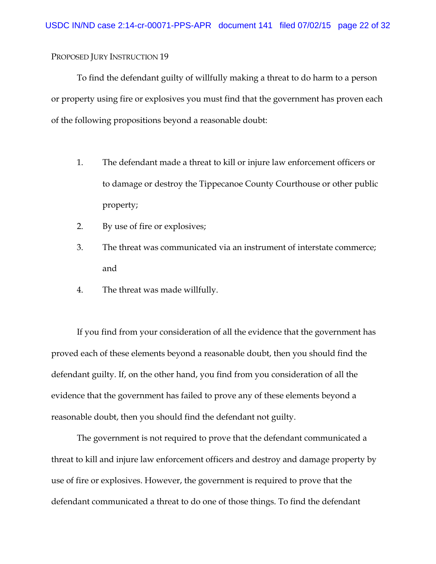To find the defendant guilty of willfully making a threat to do harm to a person or property using fire or explosives you must find that the government has proven each of the following propositions beyond a reasonable doubt:

- 1. The defendant made a threat to kill or injure law enforcement officers or to damage or destroy the Tippecanoe County Courthouse or other public property;
- 2. By use of fire or explosives;
- 3. The threat was communicated via an instrument of interstate commerce; and
- 4. The threat was made willfully.

If you find from your consideration of all the evidence that the government has proved each of these elements beyond a reasonable doubt, then you should find the defendant guilty. If, on the other hand, you find from you consideration of all the evidence that the government has failed to prove any of these elements beyond a reasonable doubt, then you should find the defendant not guilty.

The government is not required to prove that the defendant communicated a threat to kill and injure law enforcement officers and destroy and damage property by use of fire or explosives. However, the government is required to prove that the defendant communicated a threat to do one of those things. To find the defendant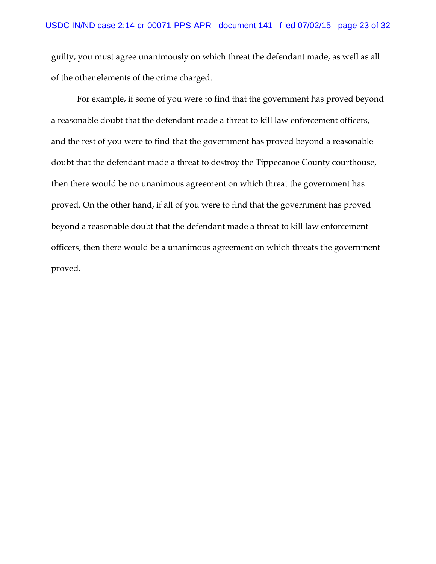guilty, you must agree unanimously on which threat the defendant made, as well as all of the other elements of the crime charged.

For example, if some of you were to find that the government has proved beyond a reasonable doubt that the defendant made a threat to kill law enforcement officers, and the rest of you were to find that the government has proved beyond a reasonable doubt that the defendant made a threat to destroy the Tippecanoe County courthouse, then there would be no unanimous agreement on which threat the government has proved. On the other hand, if all of you were to find that the government has proved beyond a reasonable doubt that the defendant made a threat to kill law enforcement officers, then there would be a unanimous agreement on which threats the government proved.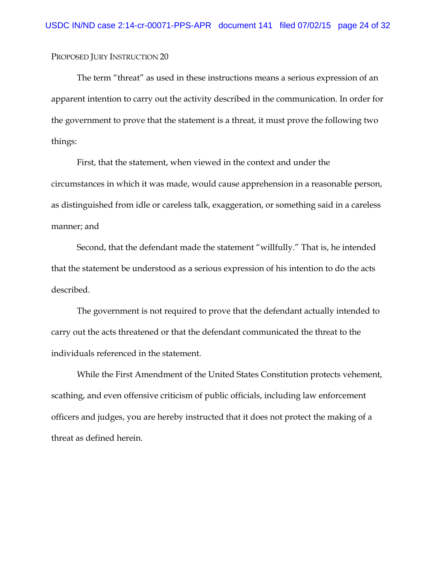The term "threat" as used in these instructions means a serious expression of an apparent intention to carry out the activity described in the communication. In order for the government to prove that the statement is a threat, it must prove the following two things:

First, that the statement, when viewed in the context and under the circumstances in which it was made, would cause apprehension in a reasonable person, as distinguished from idle or careless talk, exaggeration, or something said in a careless manner; and

Second, that the defendant made the statement "willfully." That is, he intended that the statement be understood as a serious expression of his intention to do the acts described.

The government is not required to prove that the defendant actually intended to carry out the acts threatened or that the defendant communicated the threat to the individuals referenced in the statement.

While the First Amendment of the United States Constitution protects vehement, scathing, and even offensive criticism of public officials, including law enforcement officers and judges, you are hereby instructed that it does not protect the making of a threat as defined herein.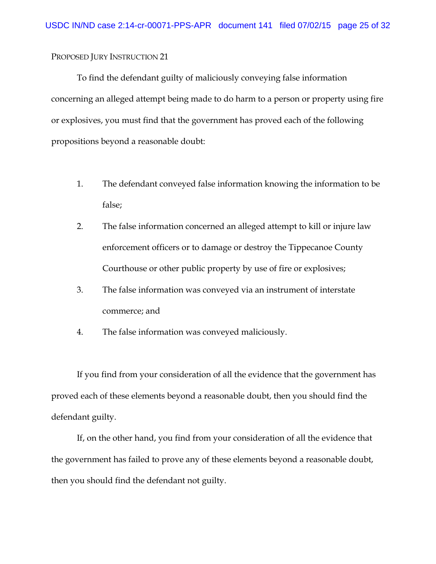To find the defendant guilty of maliciously conveying false information concerning an alleged attempt being made to do harm to a person or property using fire or explosives, you must find that the government has proved each of the following propositions beyond a reasonable doubt:

- 1. The defendant conveyed false information knowing the information to be false;
- 2. The false information concerned an alleged attempt to kill or injure law enforcement officers or to damage or destroy the Tippecanoe County Courthouse or other public property by use of fire or explosives;
- 3. The false information was conveyed via an instrument of interstate commerce; and
- 4. The false information was conveyed maliciously.

If you find from your consideration of all the evidence that the government has proved each of these elements beyond a reasonable doubt, then you should find the defendant guilty.

If, on the other hand, you find from your consideration of all the evidence that the government has failed to prove any of these elements beyond a reasonable doubt, then you should find the defendant not guilty.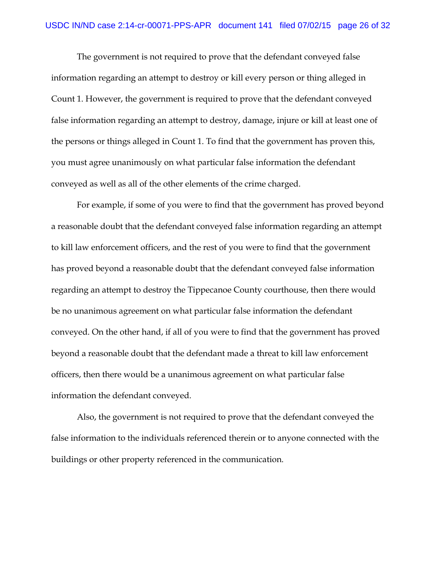The government is not required to prove that the defendant conveyed false information regarding an attempt to destroy or kill every person or thing alleged in Count 1. However, the government is required to prove that the defendant conveyed false information regarding an attempt to destroy, damage, injure or kill at least one of the persons or things alleged in Count 1. To find that the government has proven this, you must agree unanimously on what particular false information the defendant conveyed as well as all of the other elements of the crime charged.

For example, if some of you were to find that the government has proved beyond a reasonable doubt that the defendant conveyed false information regarding an attempt to kill law enforcement officers, and the rest of you were to find that the government has proved beyond a reasonable doubt that the defendant conveyed false information regarding an attempt to destroy the Tippecanoe County courthouse, then there would be no unanimous agreement on what particular false information the defendant conveyed. On the other hand, if all of you were to find that the government has proved beyond a reasonable doubt that the defendant made a threat to kill law enforcement officers, then there would be a unanimous agreement on what particular false information the defendant conveyed.

Also, the government is not required to prove that the defendant conveyed the false information to the individuals referenced therein or to anyone connected with the buildings or other property referenced in the communication.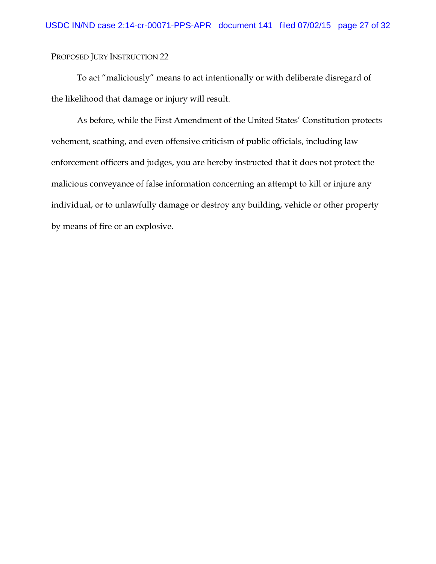To act "maliciously" means to act intentionally or with deliberate disregard of the likelihood that damage or injury will result.

As before, while the First Amendment of the United States' Constitution protects vehement, scathing, and even offensive criticism of public officials, including law enforcement officers and judges, you are hereby instructed that it does not protect the malicious conveyance of false information concerning an attempt to kill or injure any individual, or to unlawfully damage or destroy any building, vehicle or other property by means of fire or an explosive.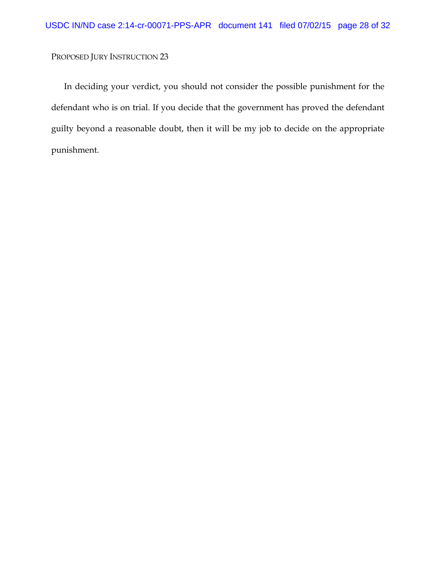In deciding your verdict, you should not consider the possible punishment for the defendant who is on trial. If you decide that the government has proved the defendant guilty beyond a reasonable doubt, then it will be my job to decide on the appropriate punishment.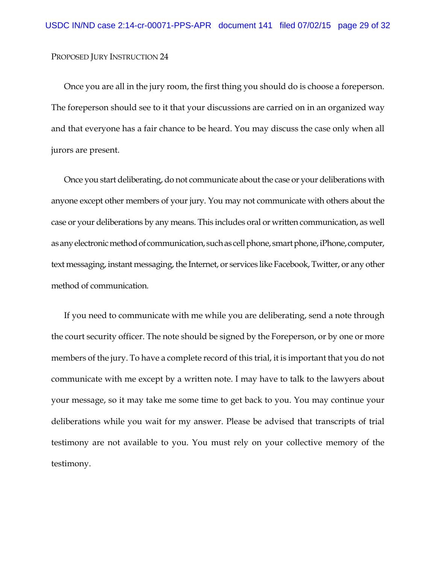Once you are all in the jury room, the first thing you should do is choose a foreperson. The foreperson should see to it that your discussions are carried on in an organized way and that everyone has a fair chance to be heard. You may discuss the case only when all jurors are present.

Once you start deliberating, do not communicate about the case or your deliberations with anyone except other members of your jury. You may not communicate with others about the case or your deliberations by any means. This includes oral or written communication, as well as any electronic method of communication, such as cell phone, smart phone, iPhone, computer, text messaging, instant messaging, the Internet, or services like Facebook, Twitter, or any other method of communication.

If you need to communicate with me while you are deliberating, send a note through the court security officer. The note should be signed by the Foreperson, or by one or more members of the jury. To have a complete record of this trial, it is important that you do not communicate with me except by a written note. I may have to talk to the lawyers about your message, so it may take me some time to get back to you. You may continue your deliberations while you wait for my answer. Please be advised that transcripts of trial testimony are not available to you. You must rely on your collective memory of the testimony.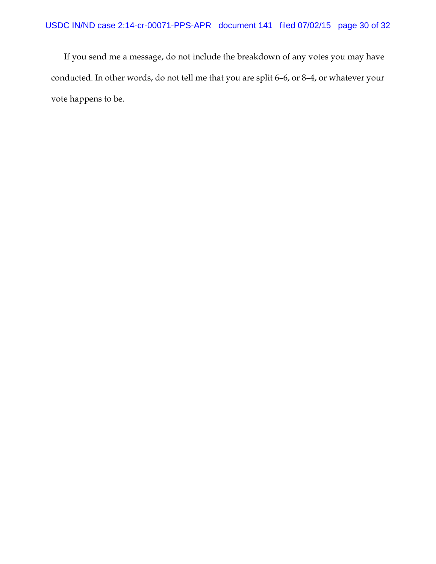If you send me a message, do not include the breakdown of any votes you may have conducted. In other words, do not tell me that you are split 6–6, or 8–4, or whatever your vote happens to be.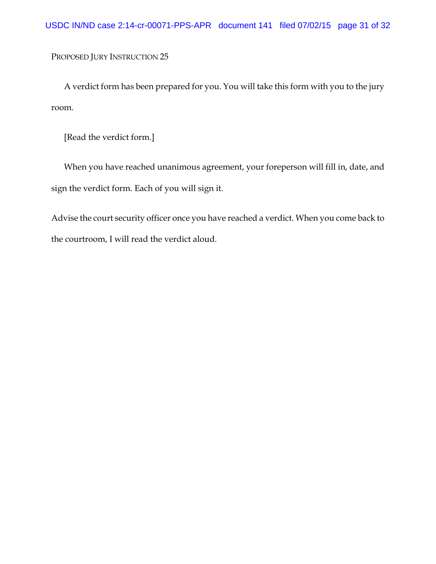A verdict form has been prepared for you. You will take this form with you to the jury room.

[Read the verdict form.]

When you have reached unanimous agreement, your foreperson will fill in, date, and sign the verdict form. Each of you will sign it.

Advise the court security officer once you have reached a verdict. When you come back to the courtroom, I will read the verdict aloud.